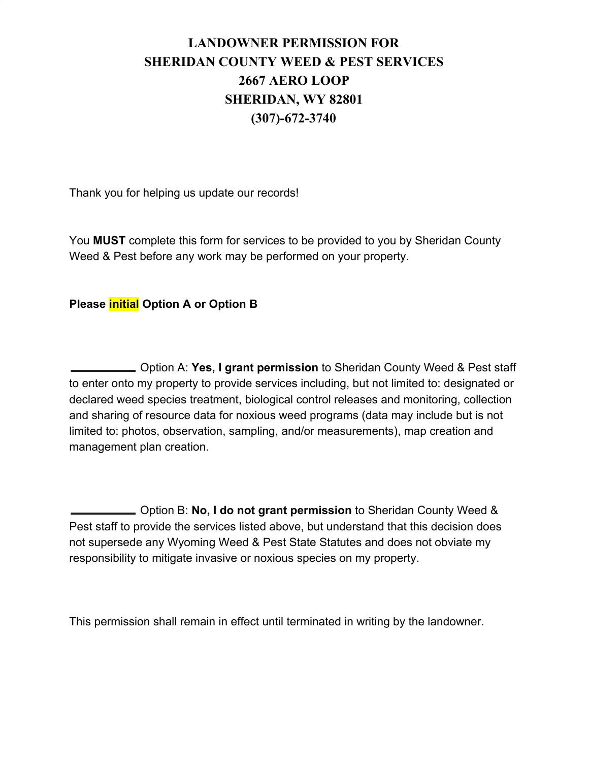## **LANDOWNER PERMISSION FOR SHERIDAN COUNTY WEED & PEST SERVICES 2667 AERO LOOP SHERIDAN, WY 82801 (307)-672-3740**

Thank you for helping us update our records!

You **MUST** complete this form for services to be provided to you by Sheridan County Weed & Pest before any work may be performed on your property.

## **Please initial Option A or Option B**

 Option A: **Yes, I grant permission** to Sheridan County Weed & Pest staff to enter onto my property to provide services including, but not limited to: designated or declared weed species treatment, biological control releases and monitoring, collection and sharing of resource data for noxious weed programs (data may include but is not limited to: photos, observation, sampling, and/or measurements), map creation and management plan creation.

 Option B: **No, I do not grant permission** to Sheridan County Weed & Pest staff to provide the services listed above, but understand that this decision does not supersede any Wyoming Weed & Pest State Statutes and does not obviate my responsibility to mitigate invasive or noxious species on my property.

This permission shall remain in effect until terminated in writing by the landowner.